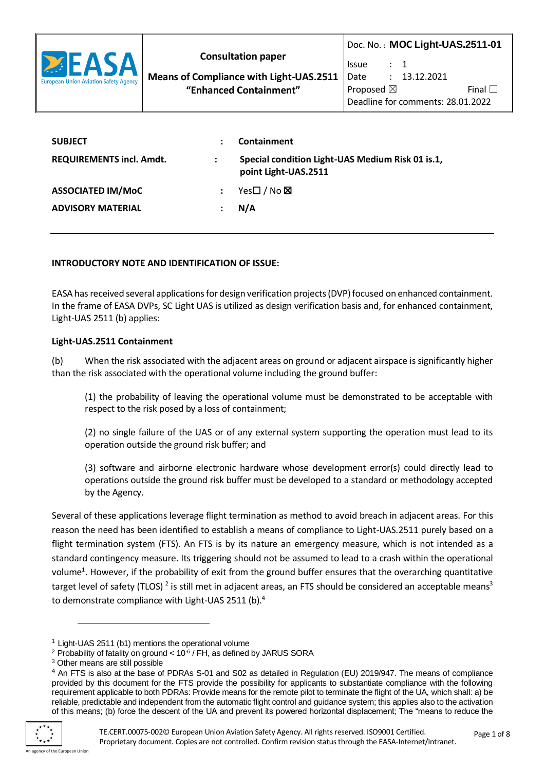

**Means of Compliance with Light-UAS.2511 "Enhanced Containment"**

Proposed  $\boxtimes$  Final  $\Box$ Deadline for comments: 28.01.2022

| <b>SUBJECT</b>                  |                      | Containment                                                              |
|---------------------------------|----------------------|--------------------------------------------------------------------------|
| <b>REQUIREMENTS incl. Amdt.</b> | $\ddot{\phantom{a}}$ | Special condition Light-UAS Medium Risk 01 is.1,<br>point Light-UAS.2511 |
| <b>ASSOCIATED IM/MoC</b>        |                      | Yes□ / No <b>⊠</b>                                                       |
| <b>ADVISORY MATERIAL</b>        |                      | N/A                                                                      |

## **INTRODUCTORY NOTE AND IDENTIFICATION OF ISSUE:**

EASA has received several applications for design verification projects (DVP) focused on enhanced containment. In the frame of EASA DVPs, SC Light UAS is utilized as design verification basis and, for enhanced containment, Light-UAS 2511 (b) applies:

#### **Light-UAS.2511 Containment**

(b) When the risk associated with the adjacent areas on ground or adjacent airspace is significantly higher than the risk associated with the operational volume including the ground buffer:

(1) the probability of leaving the operational volume must be demonstrated to be acceptable with respect to the risk posed by a loss of containment;

(2) no single failure of the UAS or of any external system supporting the operation must lead to its operation outside the ground risk buffer; and

(3) software and airborne electronic hardware whose development error(s) could directly lead to operations outside the ground risk buffer must be developed to a standard or methodology accepted by the Agency.

Several of these applications leverage flight termination as method to avoid breach in adjacent areas. For this reason the need has been identified to establish a means of compliance to Light-UAS.2511 purely based on a flight termination system (FTS). An FTS is by its nature an emergency measure, which is not intended as a standard contingency measure. Its triggering should not be assumed to lead to a crash within the operational volume<sup>1</sup>. However, if the probability of exit from the ground buffer ensures that the overarching quantitative target level of safety (TLOS)<sup>2</sup> is still met in adjacent areas, an FTS should be considered an acceptable means<sup>3</sup> to demonstrate compliance with Light-UAS 2511 (b).<sup>4</sup>

<sup>&</sup>lt;sup>4</sup> An FTS is also at the base of PDRAs S-01 and S02 as detailed in Regulation (EU) 2019/947. The means of compliance provided by this document for the FTS provide the possibility for applicants to substantiate compliance with the following requirement applicable to both PDRAs: Provide means for the remote pilot to terminate the flight of the UA, which shall: a) be reliable, predictable and independent from the automatic flight control and guidance system; this applies also to the activation of this means; (b) force the descent of the UA and prevent its powered horizontal displacement; The "means to reduce the



 $1$  Light-UAS 2511 (b1) mentions the operational volume

 $2$  Probability of fatality on ground  $< 10^{-6}$  / FH, as defined by JARUS SORA

<sup>3</sup> Other means are still possible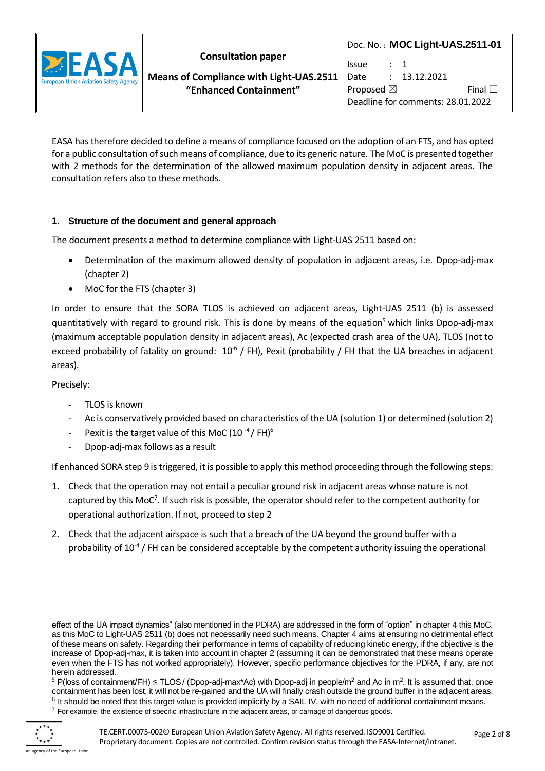

EASA has therefore decided to define a means of compliance focused on the adoption of an FTS, and has opted for a public consultation of such means of compliance, due to its generic nature. The MoC is presented together with 2 methods for the determination of the allowed maximum population density in adjacent areas. The consultation refers also to these methods.

# **1. Structure of the document and general approach**

The document presents a method to determine compliance with Light-UAS 2511 based on:

- Determination of the maximum allowed density of population in adjacent areas, i.e. Dpop-adj-max (chapter 2)
- MoC for the FTS (chapter 3)

In order to ensure that the SORA TLOS is achieved on adjacent areas, Light-UAS 2511 (b) is assessed quantitatively with regard to ground risk. This is done by means of the equation<sup>5</sup> which links Dpop-adj-max (maximum acceptable population density in adjacent areas), Ac (expected crash area of the UA), TLOS (not to exceed probability of fatality on ground:  $10^{-6}$  / FH), Pexit (probability / FH that the UA breaches in adjacent areas).

Precisely:

- TLOS is known
- Ac is conservatively provided based on characteristics of the UA (solution 1) or determined (solution 2)
- Pexit is the target value of this MoC (10 $-4/$  FH)<sup>6</sup>
- Dpop-adj-max follows as a result

If enhanced SORA step 9 is triggered, it is possible to apply this method proceeding through the following steps:

- 1. Check that the operation may not entail a peculiar ground risk in adjacent areas whose nature is not captured by this MoC<sup>7</sup>. If such risk is possible, the operator should refer to the competent authority for operational authorization. If not, proceed to step 2
- 2. Check that the adjacent airspace is such that a breach of the UA beyond the ground buffer with a probability of  $10^{-4}$  / FH can be considered acceptable by the competent authority issuing the operational

 $6$  It should be noted that this target value is provided implicitly by a SAIL IV, with no need of additional containment means.

effect of the UA impact dynamics" (also mentioned in the PDRA) are addressed in the form of "option" in chapter 4 this MoC, as this MoC to Light-UAS 2511 (b) does not necessarily need such means. Chapter 4 aims at ensuring no detrimental effect of these means on safety. Regarding their performance in terms of capability of reducing kinetic energy, if the objective is the increase of Dpop-adj-max, it is taken into account in chapter 2 (assuming it can be demonstrated that these means operate even when the FTS has not worked appropriately). However, specific performance objectives for the PDRA, if any, are not herein addressed.

<sup>&</sup>lt;sup>5</sup> P(loss of containment/FH) ≤ TLOS/ (Dpop-adj-max\*Ac) with Dpop-adj in people/m<sup>2</sup> and Ac in m<sup>2</sup>. It is assumed that, once containment has been lost, it will not be re-gained and the UA will finally crash outside the ground buffer in the adjacent areas.

<sup>&</sup>lt;sup>7</sup> For example, the existence of specific infrastructure in the adjacent areas, or carriage of dangerous goods.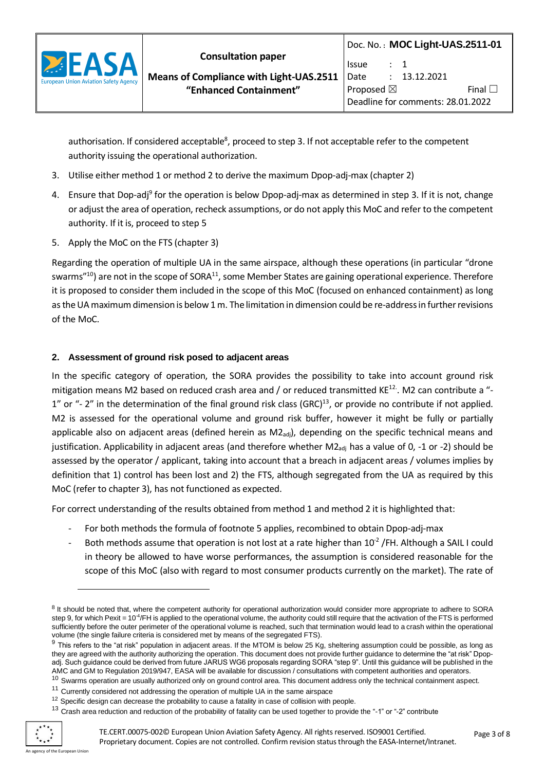

authorisation. If considered acceptable<sup>8</sup>, proceed to step 3. If not acceptable refer to the competent authority issuing the operational authorization.

- 3. Utilise either method 1 or method 2 to derive the maximum Dpop-adj-max (chapter 2)
- 4. Ensure that Dop-adj<sup>9</sup> for the operation is below Dpop-adj-max as determined in step 3. If it is not, change or adjust the area of operation, recheck assumptions, or do not apply this MoC and refer to the competent authority. If it is, proceed to step 5
- 5. Apply the MoC on the FTS (chapter 3)

Regarding the operation of multiple UA in the same airspace, although these operations (in particular "drone swarms"<sup>10</sup>) are not in the scope of SORA<sup>11</sup>, some Member States are gaining operational experience. Therefore it is proposed to consider them included in the scope of this MoC (focused on enhanced containment) as long as the UA maximum dimension is below 1 m. The limitation in dimension could be re-address in further revisions of the MoC.

# **2. Assessment of ground risk posed to adjacent areas**

In the specific category of operation, the SORA provides the possibility to take into account ground risk mitigation means M2 based on reduced crash area and / or reduced transmitted KE<sup>12.</sup>. M2 can contribute a "-1" or "- 2" in the determination of the final ground risk class (GRC) $^{13}$ , or provide no contribute if not applied. M2 is assessed for the operational volume and ground risk buffer, however it might be fully or partially applicable also on adjacent areas (defined herein as  $M2<sub>adj</sub>$ ), depending on the specific technical means and justification. Applicability in adjacent areas (and therefore whether M2<sub>adj</sub> has a value of 0, -1 or -2) should be assessed by the operator / applicant, taking into account that a breach in adjacent areas / volumes implies by definition that 1) control has been lost and 2) the FTS, although segregated from the UA as required by this MoC (refer to chapter 3), has not functioned as expected.

For correct understanding of the results obtained from method 1 and method 2 it is highlighted that:

- For both methods the formula of footnote 5 applies, recombined to obtain Dpop-adi-max
- Both methods assume that operation is not lost at a rate higher than  $10^{-2}$  /FH. Although a SAIL I could in theory be allowed to have worse performances, the assumption is considered reasonable for the scope of this MoC (also with regard to most consumer products currently on the market). The rate of

<sup>13</sup> Crash area reduction and reduction of the probability of fatality can be used together to provide the "-1" or "-2" contribute



<sup>&</sup>lt;sup>8</sup> It should be noted that, where the competent authority for operational authorization would consider more appropriate to adhere to SORA step 9, for which Pexit = 10<sup>4</sup>/FH is applied to the operational volume, the authority could still require that the activation of the FTS is performed sufficiently before the outer perimeter of the operational volume is reached, such that termination would lead to a crash within the operational volume (the single failure criteria is considered met by means of the segregated FTS).

 $9$  This refers to the "at risk" population in adjacent areas. If the MTOM is below 25 Kg, sheltering assumption could be possible, as long as they are agreed with the authority authorizing the operation. This document does not provide further guidance to determine the "at risk" Dpopadj. Such guidance could be derived from future JARUS WG6 proposals regarding SORA "step 9". Until this guidance will be published in the AMC and GM to Regulation 2019/947, EASA will be available for discussion / consultations with competent authorities and operators.

 $10$  Swarms operation are usually authorized only on ground control area. This document address only the technical containment aspect.

<sup>&</sup>lt;sup>11</sup> Currently considered not addressing the operation of multiple UA in the same airspace

<sup>&</sup>lt;sup>12</sup> Specific design can decrease the probability to cause a fatality in case of collision with people.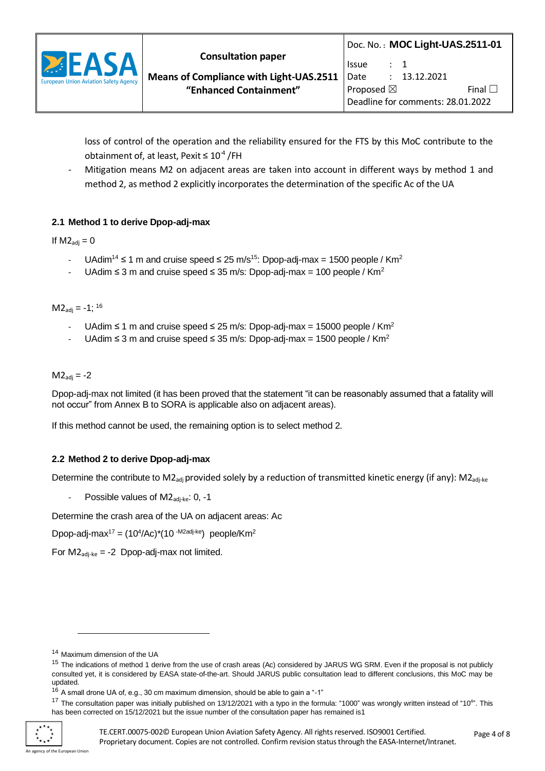

loss of control of the operation and the reliability ensured for the FTS by this MoC contribute to the obtainment of, at least, Pexit  $\leq 10^{-4}$  /FH

Mitigation means M2 on adjacent areas are taken into account in different ways by method 1 and method 2, as method 2 explicitly incorporates the determination of the specific Ac of the UA

# **2.1 Method 1 to derive Dpop-adj-max**

If  $M2_{\text{adi}} = 0$ 

- UAdim<sup>14</sup> ≤ 1 m and cruise speed ≤ 25 m/s<sup>15</sup>: Dpop-adj-max = 1500 people / Km<sup>2</sup>
- UAdim ≤ 3 m and cruise speed ≤ 35 m/s: Dpop-adj-max = 100 people / Km<sup>2</sup>

 $M2_{\text{adi}} = -1$ ; <sup>16</sup>

- UAdim ≤ 1 m and cruise speed ≤ 25 m/s: Dpop-adj-max = 15000 people / Km<sup>2</sup>
- UAdim ≤ 3 m and cruise speed ≤ 35 m/s: Dpop-adj-max = 1500 people / Km<sup>2</sup>

 $M2_{\text{adj}} = -2$ 

Dpop-adj-max not limited (it has been proved that the statement "it can be reasonably assumed that a fatality will not occur" from Annex B to SORA is applicable also on adjacent areas).

If this method cannot be used, the remaining option is to select method 2.

## **2.2 Method 2 to derive Dpop-adj-max**

Determine the contribute to M2<sub>adi</sub> provided solely by a reduction of transmitted kinetic energy (if any): M2<sub>adi-ke</sub>

Possible values of  $M2_{\text{adi-ke}}$ : 0, -1

Determine the crash area of the UA on adjacent areas: Ac

Dpop-adj-max<sup>17</sup> =  $(10^4/Ac)^*(10^{-M2adi-ke})$  people/Km<sup>2</sup>

For  $M2_{\text{adi-ke}} = -2$  Dpop-adj-max not limited.

<sup>14</sup> Maximum dimension of the UA

<sup>&</sup>lt;sup>15</sup> The indications of method 1 derive from the use of crash areas (Ac) considered by JARUS WG SRM. Even if the proposal is not publicly consulted yet, it is considered by EASA state-of-the-art. Should JARUS public consultation lead to different conclusions, this MoC may be updated.

 $16$  A small drone UA of, e.g., 30 cm maximum dimension, should be able to gain a "-1"

<sup>&</sup>lt;sup>17</sup> The consultation paper was initially published on 13/12/2021 with a typo in the formula: "1000" was wrongly written instead of "10<sup>4</sup>". This has been corrected on 15/12/2021 but the issue number of the consultation paper has remained is1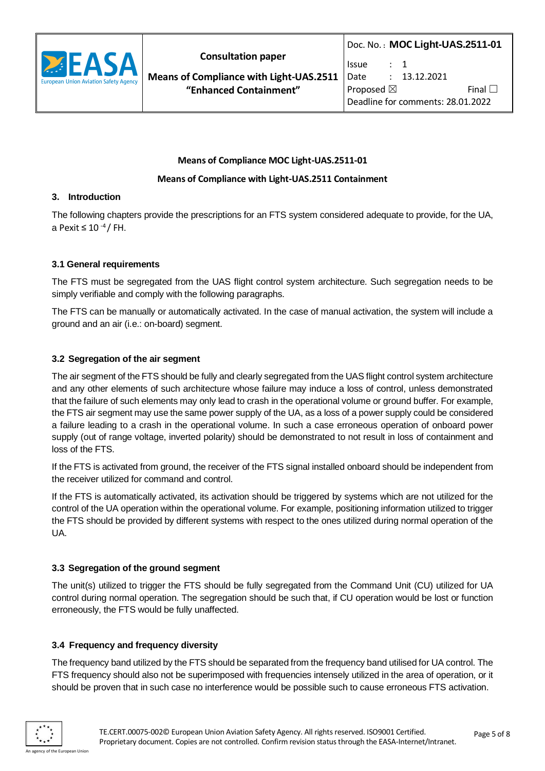

**Means of Compliance with Light-UAS.2511 "Enhanced Containment"**

Proposed  $\boxtimes$  Final  $\Box$ Deadline for comments: 28.01.2022

### **Means of Compliance MOC Light-UAS.2511-01**

#### **Means of Compliance with Light-UAS.2511 Containment**

## **3. Introduction**

The following chapters provide the prescriptions for an FTS system considered adequate to provide, for the UA, a Pexit ≤ 10 -4 / FH.

#### **3.1 General requirements**

The FTS must be segregated from the UAS flight control system architecture. Such segregation needs to be simply verifiable and comply with the following paragraphs.

The FTS can be manually or automatically activated. In the case of manual activation, the system will include a ground and an air (i.e.: on-board) segment.

#### **3.2 Segregation of the air segment**

The air segment of the FTS should be fully and clearly segregated from the UAS flight control system architecture and any other elements of such architecture whose failure may induce a loss of control, unless demonstrated that the failure of such elements may only lead to crash in the operational volume or ground buffer. For example, the FTS air segment may use the same power supply of the UA, as a loss of a power supply could be considered a failure leading to a crash in the operational volume. In such a case erroneous operation of onboard power supply (out of range voltage, inverted polarity) should be demonstrated to not result in loss of containment and loss of the FTS.

If the FTS is activated from ground, the receiver of the FTS signal installed onboard should be independent from the receiver utilized for command and control.

If the FTS is automatically activated, its activation should be triggered by systems which are not utilized for the control of the UA operation within the operational volume. For example, positioning information utilized to trigger the FTS should be provided by different systems with respect to the ones utilized during normal operation of the UA.

## **3.3 Segregation of the ground segment**

The unit(s) utilized to trigger the FTS should be fully segregated from the Command Unit (CU) utilized for UA control during normal operation. The segregation should be such that, if CU operation would be lost or function erroneously, the FTS would be fully unaffected.

## **3.4 Frequency and frequency diversity**

The frequency band utilized by the FTS should be separated from the frequency band utilised for UA control. The FTS frequency should also not be superimposed with frequencies intensely utilized in the area of operation, or it should be proven that in such case no interference would be possible such to cause erroneous FTS activation.

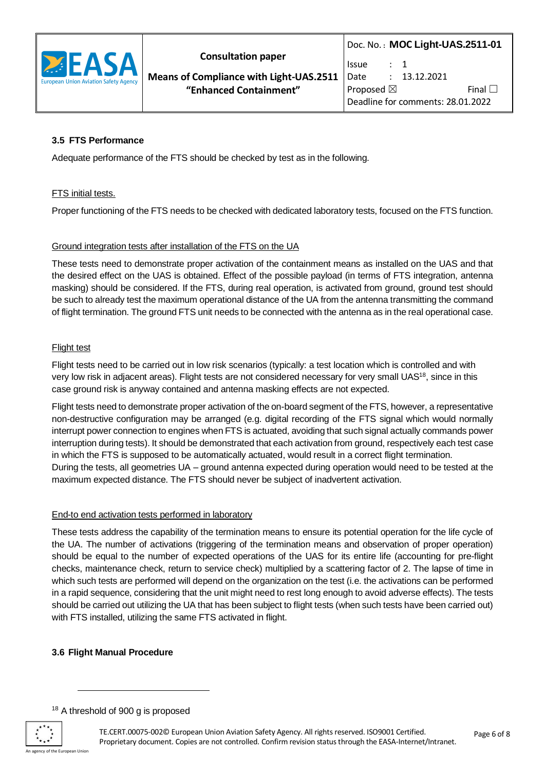

**Means of Compliance with Light-UAS.2511 "Enhanced Containment"**

## **3.5 FTS Performance**

Adequate performance of the FTS should be checked by test as in the following.

#### **FTS** initial tests.

Proper functioning of the FTS needs to be checked with dedicated laboratory tests, focused on the FTS function.

#### Ground integration tests after installation of the FTS on the UA

These tests need to demonstrate proper activation of the containment means as installed on the UAS and that the desired effect on the UAS is obtained. Effect of the possible payload (in terms of FTS integration, antenna masking) should be considered. If the FTS, during real operation, is activated from ground, ground test should be such to already test the maximum operational distance of the UA from the antenna transmitting the command of flight termination. The ground FTS unit needs to be connected with the antenna as in the real operational case.

#### Flight test

Flight tests need to be carried out in low risk scenarios (typically: a test location which is controlled and with very low risk in adjacent areas). Flight tests are not considered necessary for very small UAS<sup>18</sup>, since in this case ground risk is anyway contained and antenna masking effects are not expected.

Flight tests need to demonstrate proper activation of the on-board segment of the FTS, however, a representative non-destructive configuration may be arranged (e.g. digital recording of the FTS signal which would normally interrupt power connection to engines when FTS is actuated, avoiding that such signal actually commands power interruption during tests). It should be demonstrated that each activation from ground, respectively each test case in which the FTS is supposed to be automatically actuated, would result in a correct flight termination. During the tests, all geometries UA – ground antenna expected during operation would need to be tested at the maximum expected distance. The FTS should never be subject of inadvertent activation.

#### End-to end activation tests performed in laboratory

These tests address the capability of the termination means to ensure its potential operation for the life cycle of the UA. The number of activations (triggering of the termination means and observation of proper operation) should be equal to the number of expected operations of the UAS for its entire life (accounting for pre-flight checks, maintenance check, return to service check) multiplied by a scattering factor of 2. The lapse of time in which such tests are performed will depend on the organization on the test (i.e. the activations can be performed in a rapid sequence, considering that the unit might need to rest long enough to avoid adverse effects). The tests should be carried out utilizing the UA that has been subject to flight tests (when such tests have been carried out) with FTS installed, utilizing the same FTS activated in flight.

#### **3.6 Flight Manual Procedure**

<sup>&</sup>lt;sup>18</sup> A threshold of 900 g is proposed

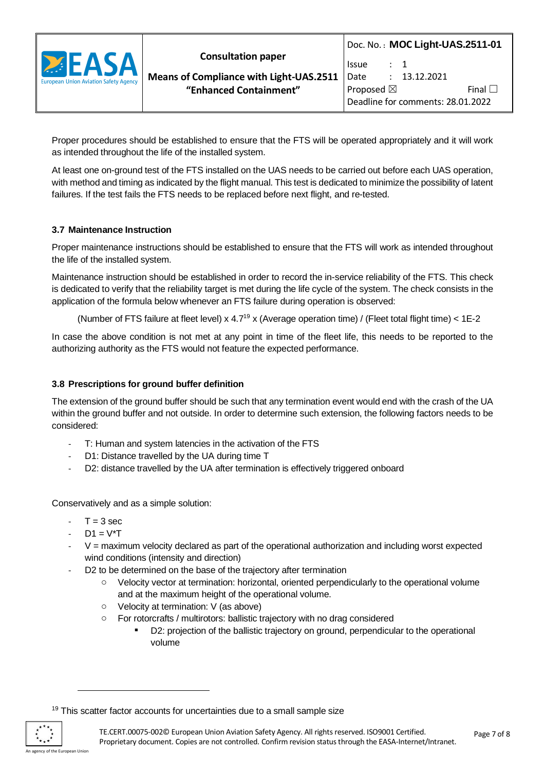

Proper procedures should be established to ensure that the FTS will be operated appropriately and it will work as intended throughout the life of the installed system.

At least one on-ground test of the FTS installed on the UAS needs to be carried out before each UAS operation, with method and timing as indicated by the flight manual. This test is dedicated to minimize the possibility of latent failures. If the test fails the FTS needs to be replaced before next flight, and re-tested.

## **3.7 Maintenance Instruction**

Proper maintenance instructions should be established to ensure that the FTS will work as intended throughout the life of the installed system.

Maintenance instruction should be established in order to record the in-service reliability of the FTS. This check is dedicated to verify that the reliability target is met during the life cycle of the system. The check consists in the application of the formula below whenever an FTS failure during operation is observed:

(Number of FTS failure at fleet level) x  $4.7^{19}$  x (Average operation time) / (Fleet total flight time) <  $1E-2$ 

In case the above condition is not met at any point in time of the fleet life, this needs to be reported to the authorizing authority as the FTS would not feature the expected performance.

## **3.8 Prescriptions for ground buffer definition**

The extension of the ground buffer should be such that any termination event would end with the crash of the UA within the ground buffer and not outside. In order to determine such extension, the following factors needs to be considered:

- T: Human and system latencies in the activation of the FTS
- D1: Distance travelled by the UA during time T
- D2: distance travelled by the UA after termination is effectively triggered onboard

Conservatively and as a simple solution:

- $T = 3 sec$
- $D1 = V^*T$
- $V =$  maximum velocity declared as part of the operational authorization and including worst expected wind conditions (intensity and direction)
- D2 to be determined on the base of the trajectory after termination
	- o Velocity vector at termination: horizontal, oriented perpendicularly to the operational volume and at the maximum height of the operational volume.
	- o Velocity at termination: V (as above)
	- o For rotorcrafts / multirotors: ballistic trajectory with no drag considered
		- D2: projection of the ballistic trajectory on ground, perpendicular to the operational volume

<sup>&</sup>lt;sup>19</sup> This scatter factor accounts for uncertainties due to a small sample size